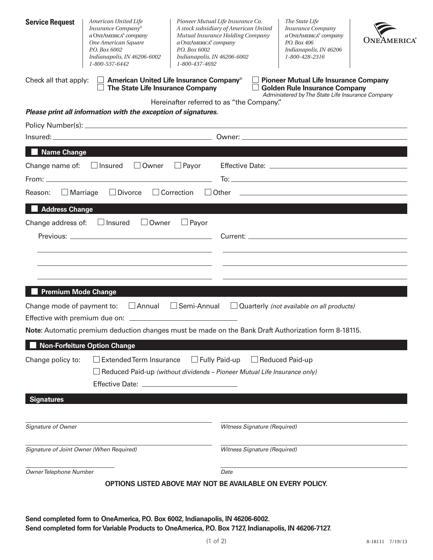| Check all that apply:<br>$\Box$ American United Life Insurance Company <sup>®</sup><br>The State Life Insurance Company<br><b>Golden Rule Insurance Company</b><br>Hereinafter referred to as "the Company."<br>Please print all information with the exception of signatures.<br><b>Name Change</b><br>Change name of: $\Box$ Insured $\Box$ Owner $\Box$ Payor<br>$\Box$ Divorce $\Box$ Correction $\Box$ Other $\Box$<br>$\Box$ Marriage<br>Reason:<br>Address Change |                                                                                                  |  |  |  |  |  |  |  |  |  |
|--------------------------------------------------------------------------------------------------------------------------------------------------------------------------------------------------------------------------------------------------------------------------------------------------------------------------------------------------------------------------------------------------------------------------------------------------------------------------|--------------------------------------------------------------------------------------------------|--|--|--|--|--|--|--|--|--|
|                                                                                                                                                                                                                                                                                                                                                                                                                                                                          | <b>Pioneer Mutual Life Insurance Company</b><br>Administered by The State Life Insurance Company |  |  |  |  |  |  |  |  |  |
|                                                                                                                                                                                                                                                                                                                                                                                                                                                                          |                                                                                                  |  |  |  |  |  |  |  |  |  |
|                                                                                                                                                                                                                                                                                                                                                                                                                                                                          |                                                                                                  |  |  |  |  |  |  |  |  |  |
|                                                                                                                                                                                                                                                                                                                                                                                                                                                                          |                                                                                                  |  |  |  |  |  |  |  |  |  |
|                                                                                                                                                                                                                                                                                                                                                                                                                                                                          |                                                                                                  |  |  |  |  |  |  |  |  |  |
|                                                                                                                                                                                                                                                                                                                                                                                                                                                                          |                                                                                                  |  |  |  |  |  |  |  |  |  |
|                                                                                                                                                                                                                                                                                                                                                                                                                                                                          |                                                                                                  |  |  |  |  |  |  |  |  |  |
|                                                                                                                                                                                                                                                                                                                                                                                                                                                                          |                                                                                                  |  |  |  |  |  |  |  |  |  |
|                                                                                                                                                                                                                                                                                                                                                                                                                                                                          |                                                                                                  |  |  |  |  |  |  |  |  |  |
| Change address of: $\Box$ Insured $\Box$ Owner $\Box$ Payor                                                                                                                                                                                                                                                                                                                                                                                                              |                                                                                                  |  |  |  |  |  |  |  |  |  |
|                                                                                                                                                                                                                                                                                                                                                                                                                                                                          |                                                                                                  |  |  |  |  |  |  |  |  |  |
|                                                                                                                                                                                                                                                                                                                                                                                                                                                                          |                                                                                                  |  |  |  |  |  |  |  |  |  |
|                                                                                                                                                                                                                                                                                                                                                                                                                                                                          |                                                                                                  |  |  |  |  |  |  |  |  |  |
|                                                                                                                                                                                                                                                                                                                                                                                                                                                                          |                                                                                                  |  |  |  |  |  |  |  |  |  |
| <b>Premium Mode Change</b>                                                                                                                                                                                                                                                                                                                                                                                                                                               |                                                                                                  |  |  |  |  |  |  |  |  |  |
| $\Box$ Annual $\Box$ Semi-Annual $\Box$ Quarterly (not available on all products)<br>Change mode of payment to:                                                                                                                                                                                                                                                                                                                                                          |                                                                                                  |  |  |  |  |  |  |  |  |  |
|                                                                                                                                                                                                                                                                                                                                                                                                                                                                          |                                                                                                  |  |  |  |  |  |  |  |  |  |
| Note: Automatic premium deduction changes must be made on the Bank Draft Authorization form 8-18115.                                                                                                                                                                                                                                                                                                                                                                     |                                                                                                  |  |  |  |  |  |  |  |  |  |
| <b>Non-Forfeiture Option Change</b>                                                                                                                                                                                                                                                                                                                                                                                                                                      |                                                                                                  |  |  |  |  |  |  |  |  |  |
| $\Box$ Fully Paid-up<br>$\Box$ Reduced Paid-up<br>$\Box$ Extended Term Insurance<br>Change policy to:                                                                                                                                                                                                                                                                                                                                                                    |                                                                                                  |  |  |  |  |  |  |  |  |  |
| $\Box$ Reduced Paid-up (without dividends – Pioneer Mutual Life Insurance only)                                                                                                                                                                                                                                                                                                                                                                                          |                                                                                                  |  |  |  |  |  |  |  |  |  |
|                                                                                                                                                                                                                                                                                                                                                                                                                                                                          |                                                                                                  |  |  |  |  |  |  |  |  |  |
| <b>Signatures</b>                                                                                                                                                                                                                                                                                                                                                                                                                                                        |                                                                                                  |  |  |  |  |  |  |  |  |  |
|                                                                                                                                                                                                                                                                                                                                                                                                                                                                          |                                                                                                  |  |  |  |  |  |  |  |  |  |
| Signature of Owner<br><b>Witness Signature (Required)</b>                                                                                                                                                                                                                                                                                                                                                                                                                |                                                                                                  |  |  |  |  |  |  |  |  |  |
| Signature of Joint Owner (When Required)<br>Witness Signature (Required)                                                                                                                                                                                                                                                                                                                                                                                                 |                                                                                                  |  |  |  |  |  |  |  |  |  |
|                                                                                                                                                                                                                                                                                                                                                                                                                                                                          |                                                                                                  |  |  |  |  |  |  |  |  |  |
| Owner Telephone Number<br>Date                                                                                                                                                                                                                                                                                                                                                                                                                                           |                                                                                                  |  |  |  |  |  |  |  |  |  |
| <b>OPTIONS LISTED ABOVE MAY NOT BE AVAILABLE ON EVERY POLICY.</b>                                                                                                                                                                                                                                                                                                                                                                                                        |                                                                                                  |  |  |  |  |  |  |  |  |  |
|                                                                                                                                                                                                                                                                                                                                                                                                                                                                          |                                                                                                  |  |  |  |  |  |  |  |  |  |

**Send completed form to OneAmerica, P.O. Box 6002, Indianapolis, IN 46206-6002. Send completed form for Variable Products to OneAmerica, P.O. Box 7127, Indianapolis, IN 46206-7127.**